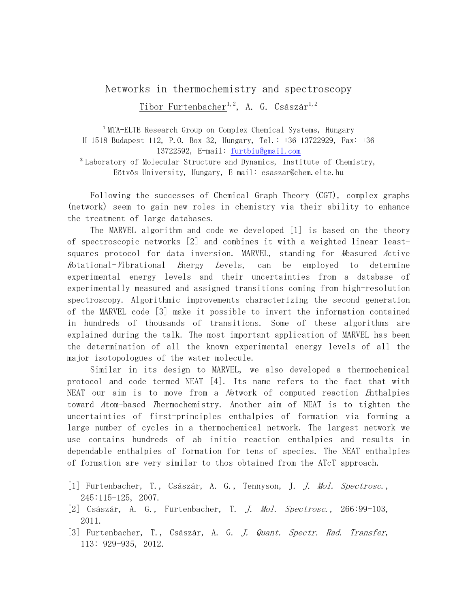## Networks in thermochemistry and spectroscopy Tibor Furtenbacher<sup>1,2</sup>, A. G. Császár<sup>1,2</sup>

<sup>1</sup> MTA-ELTE Research Group on Comp[lex Chemical Systems](mailto:furtbiu@gmail.com), Hungary H-1518 Budapest 112, P.O. Box 32, Hungary, Tel.: +36 13722929, Fax: +36 13722592, E-mail: furtbiu@gmail.com  $^2$  Laboratory of Molecular Structure and Dynamics, Institute of Chemistry,

Eötvös University, Hungary, E-mail: csaszar@chem.elte.hu

Following the successes of Chemical Graph Theory (CGT), complex graphs (network) seem to gain new roles in chemistry via their ability to enhance the treatment of large databases.

The MARVEL algorithm and code we developed [1] is based on the theory of spectroscopic networks [2] and combines it with a weighted linear leastsquares protocol for data inversion. MARVEL, standing for Measured Active <sup>R</sup>otational-Vibrational Energy Levels, can be employed to determine experimental energy levels and their uncertainties from a database of experimentally measured and assigned transitions coming from high-resolution spectroscopy. Algorithmic improvements characterizing the second generation of the MARVEL code [3] make it possible to invert the information contained in hundreds of thousands of transitions. Some of these algorithms are explained during the talk. The most important application of MARVEL has been the determination of all the known experimental energy levels of all the major isotopologues of the water molecule.

Similar in its design to MARVEL, we also developed a thermochemical protocol and code termed NEAT [4]. Its name refers to the fact that with NEAT our aim is to move from a Network of computed reaction Enthalpies toward Atom-based <sup>T</sup>hermochemistry. Another aim of NEAT is to tighten the uncertainties of first-principles enthalpies of formation via forming a large number of cycles in a thermochemical network. The largest network we use contains hundreds of ab initio reaction enthalpies and results in dependable enthalpies of formation for tens of species. The NEAT enthalpies of formation are very similar to thos obtained from the ATcT approach.

- [1] Furtenbacher, T., Császár, A. G., Tennyson, J. *J. Mol. Spectrosc.*, 245:115-125, 2007.
- [2] Császár, A. G., Furtenbacher, T. *J. Mol. Spectrosc.*, 266:99-103, 2011.
- [3] Furtenbacher, T., Császár, A. G. J. Quant. Spectr. Rad. Transfer, 113: 929-935, 2012.